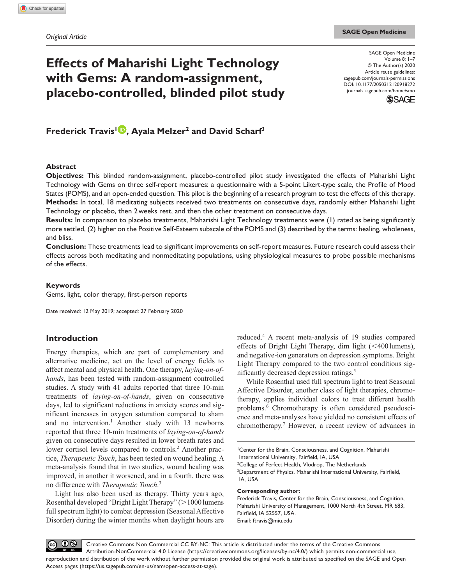# **Effects of Maharishi Light Technology with Gems: A random-assignment, placebo-controlled, blinded pilot study**

SAGE Open Medicine Volume 8: 1–7 © The Author(s) 2020 Article reuse guidelines: [sagepub.com/journals-permissions](https://uk.sagepub.com/en-gb/journals-permissions) DOI: 10.1177/2050312120918272 [journals.sagepub.com/home/smo](https://journals.sagepub.com/home/smo) **SSAGE** 

**Frederick Travis1 , Ayala Melzer2 and David Scharf3**

#### **Abstract**

**Objectives:** This blinded random-assignment, placebo-controlled pilot study investigated the effects of Maharishi Light Technology with Gems on three self-report measures: a questionnaire with a 5-point Likert-type scale, the Profile of Mood States (POMS), and an open-ended question. This pilot is the beginning of a research program to test the effects of this therapy. **Methods:** In total, 18 meditating subjects received two treatments on consecutive days, randomly either Maharishi Light Technology or placebo, then 2weeks rest, and then the other treatment on consecutive days.

**Results:** In comparison to placebo treatments, Maharishi Light Technology treatments were (1) rated as being significantly more settled, (2) higher on the Positive Self-Esteem subscale of the POMS and (3) described by the terms: healing, wholeness, and bliss.

**Conclusion:** These treatments lead to significant improvements on self-report measures. Future research could assess their effects across both meditating and nonmeditating populations, using physiological measures to probe possible mechanisms of the effects.

#### **Keywords**

Gems, light, color therapy, first-person reports

Date received: 12 May 2019; accepted: 27 February 2020

## **Introduction**

Energy therapies, which are part of complementary and alternative medicine, act on the level of energy fields to affect mental and physical health. One therapy, *laying-on-ofhands*, has been tested with random-assignment controlled studies. A study with 41 adults reported that three 10-min treatments of *laying-on-of-hands*, given on consecutive days, led to significant reductions in anxiety scores and significant increases in oxygen saturation compared to sham and no intervention.<sup>1</sup> Another study with 13 newborns reported that three 10-min treatments of *laying-on-of-hands* given on consecutive days resulted in lower breath rates and lower cortisol levels compared to controls.<sup>2</sup> Another practice, *Therapeutic Touch*, has been tested on wound healing. A meta-analysis found that in two studies, wound healing was improved, in another it worsened, and in a fourth, there was no difference with *Therapeutic Touch*. 3

Light has also been used as therapy. Thirty years ago, Rosenthal developed "Bright Light Therapy" (>1000 lumens full spectrum light) to combat depression (Seasonal Affective Disorder) during the winter months when daylight hours are

reduced.4 A recent meta-analysis of 19 studies compared effects of Bright Light Therapy, dim light  $( $400 \text{ lumens}$ ),$ and negative-ion generators on depression symptoms. Bright Light Therapy compared to the two control conditions significantly decreased depression ratings.<sup>5</sup>

While Rosenthal used full spectrum light to treat Seasonal Affective Disorder, another class of light therapies, chromotherapy, applies individual colors to treat different health problems.<sup>6</sup> Chromotherapy is often considered pseudoscience and meta-analyses have yielded no consistent effects of chromotherapy.7 However, a recent review of advances in

1 Center for the Brain, Consciousness, and Cognition, Maharishi International University, Fairfield, IA, USA <sup>2</sup>College of Perfect Health, Vlodrop, The Netherlands <sup>3</sup>Department of Physics, Maharishi International University, Fairfield, IA, USA

#### **Corresponding author:**

Frederick Travis, Center for the Brain, Consciousness, and Cognition, Maharishi University of Management, 1000 North 4th Street, MR 683, Fairfield, IA 52557, USA. Email: [ftravis@miu.edu](mailto:ftravis@miu.edu)

 $\odot$ Creative Commons Non Commercial CC BY-NC: This article is distributed under the terms of the Creative Commons  $(cc)$ Attribution-NonCommercial 4.0 License (https://creativecommons.org/licenses/by-nc/4.0/) which permits non-commercial use, reproduction and distribution of the work without further permission provided the original work is attributed as specified on the SAGE and Open Access pages (https://us.sagepub.com/en-us/nam/open-access-at-sage).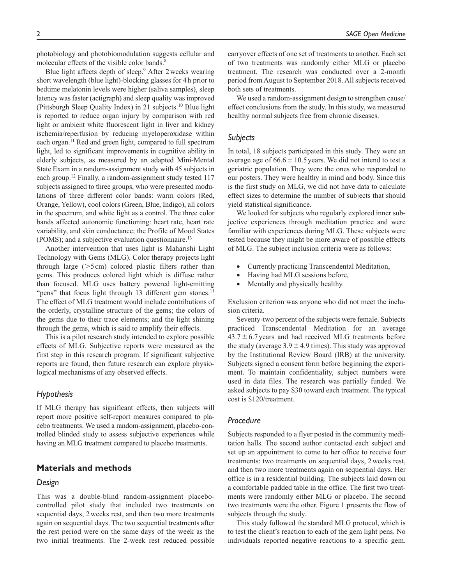photobiology and photobiomodulation suggests cellular and molecular effects of the visible color bands.<sup>8</sup>

Blue light affects depth of sleep.<sup>9</sup> After 2 weeks wearing short wavelength (blue light)-blocking glasses for 4h prior to bedtime melatonin levels were higher (saliva samples), sleep latency was faster (actigraph) and sleep quality was improved (Pittsburgh Sleep Quality Index) in 21 subjects.<sup>10</sup> Blue light is reported to reduce organ injury by comparison with red light or ambient white fluorescent light in liver and kidney ischemia/reperfusion by reducing myeloperoxidase within each organ.<sup>11</sup> Red and green light, compared to full spectrum light, led to significant improvements in cognitive ability in elderly subjects, as measured by an adapted Mini-Mental State Exam in a random-assignment study with 45 subjects in each group.<sup>12</sup> Finally, a random-assignment study tested 117 subjects assigned to three groups, who were presented modulations of three different color bands: warm colors (Red, Orange, Yellow), cool colors (Green, Blue, Indigo), all colors in the spectrum, and white light as a control. The three color bands affected autonomic functioning: heart rate, heart rate variability, and skin conductance; the Profile of Mood States (POMS); and a subjective evaluation questionnaire.<sup>13</sup>

Another intervention that uses light is Maharishi Light Technology with Gems (MLG). Color therapy projects light through large  $($ >5cm) colored plastic filters rather than gems. This produces colored light which is diffuse rather than focused. MLG uses battery powered light-emitting "pens" that focus light through 13 different gem stones. $11$ The effect of MLG treatment would include contributions of the orderly, crystalline structure of the gems; the colors of the gems due to their trace elements; and the light shining through the gems, which is said to amplify their effects.

This is a pilot research study intended to explore possible effects of MLG. Subjective reports were measured as the first step in this research program. If significant subjective reports are found, then future research can explore physiological mechanisms of any observed effects.

## *Hypothesis*

If MLG therapy has significant effects, then subjects will report more positive self-report measures compared to placebo treatments. We used a random-assignment, placebo-controlled blinded study to assess subjective experiences while having an MLG treatment compared to placebo treatments.

## **Materials and methods**

#### *Design*

This was a double-blind random-assignment placebocontrolled pilot study that included two treatments on sequential days, 2weeks rest, and then two more treatments again on sequential days. The two sequential treatments after the rest period were on the same days of the week as the two initial treatments. The 2-week rest reduced possible carryover effects of one set of treatments to another. Each set of two treatments was randomly either MLG or placebo treatment. The research was conducted over a 2-month period from August to September 2018. All subjects received both sets of treatments.

We used a random-assignment design to strengthen cause/ effect conclusions from the study. In this study, we measured healthy normal subjects free from chronic diseases.

## *Subjects*

In total, 18 subjects participated in this study. They were an average age of  $66.6 \pm 10.5$  years. We did not intend to test a geriatric population. They were the ones who responded to our posters. They were healthy in mind and body. Since this is the first study on MLG, we did not have data to calculate effect sizes to determine the number of subjects that should yield statistical significance.

We looked for subjects who regularly explored inner subjective experiences through meditation practice and were familiar with experiences during MLG. These subjects were tested because they might be more aware of possible effects of MLG. The subject inclusion criteria were as follows:

- Currently practicing Transcendental Meditation,
- Having had MLG sessions before,
- Mentally and physically healthy.

Exclusion criterion was anyone who did not meet the inclusion criteria.

Seventy-two percent of the subjects were female. Subjects practiced Transcendental Meditation for an average  $43.7 \pm 6.7$  years and had received MLG treatments before the study (average  $3.9 \pm 4.9$  times). This study was approved by the Institutional Review Board (IRB) at the university. Subjects signed a consent form before beginning the experiment. To maintain confidentiality, subject numbers were used in data files. The research was partially funded. We asked subjects to pay \$30 toward each treatment. The typical cost is \$120/treatment.

## *Procedure*

Subjects responded to a flyer posted in the community meditation halls. The second author contacted each subject and set up an appointment to come to her office to receive four treatments: two treatments on sequential days, 2weeks rest, and then two more treatments again on sequential days. Her office is in a residential building. The subjects laid down on a comfortable padded table in the office. The first two treatments were randomly either MLG or placebo. The second two treatments were the other. Figure 1 presents the flow of subjects through the study.

This study followed the standard MLG protocol, which is to test the client's reaction to each of the gem light pens. No individuals reported negative reactions to a specific gem.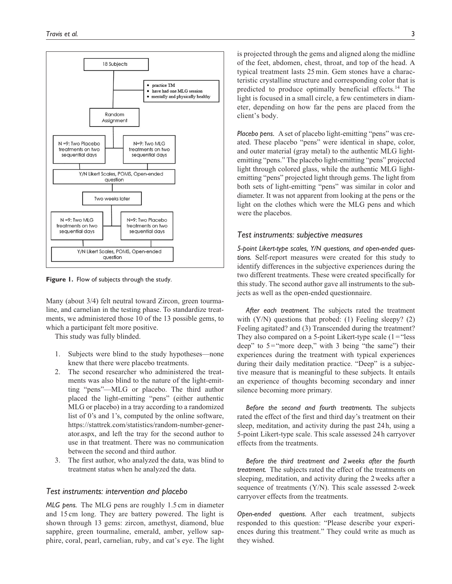

**Figure 1.** Flow of subjects through the study.

Many (about 3/4) felt neutral toward Zircon, green tourmaline, and carnelian in the testing phase. To standardize treatments, we administered those 10 of the 13 possible gems, to which a participant felt more positive.

This study was fully blinded.

- 1. Subjects were blind to the study hypotheses—none knew that there were placebo treatments.
- 2. The second researcher who administered the treatments was also blind to the nature of the light-emitting "pens"—MLG or placebo. The third author placed the light-emitting "pens" (either authentic MLG or placebo) in a tray according to a randomized list of 0's and 1's, computed by the online software, [https://stattrek.com/statistics/random-number-gener](https://stattrek.com/statistics/random-number-generator.aspx)[ator.aspx](https://stattrek.com/statistics/random-number-generator.aspx), and left the tray for the second author to use in that treatment. There was no communication between the second and third author.
- 3. The first author, who analyzed the data, was blind to treatment status when he analyzed the data.

#### *Test instruments: intervention and placebo*

*MLG pens.* The MLG pens are roughly 1.5 cm in diameter and 15 cm long. They are battery powered. The light is shown through 13 gems: zircon, amethyst, diamond, blue sapphire, green tourmaline, emerald, amber, yellow sapphire, coral, pearl, carnelian, ruby, and cat's eye. The light is projected through the gems and aligned along the midline of the feet, abdomen, chest, throat, and top of the head. A typical treatment lasts 25min. Gem stones have a characteristic crystalline structure and corresponding color that is predicted to produce optimally beneficial effects.<sup>14</sup> The light is focused in a small circle, a few centimeters in diameter, depending on how far the pens are placed from the client's body.

*Placebo pens.* A set of placebo light-emitting "pens" was created. These placebo "pens" were identical in shape, color, and outer material (gray metal) to the authentic MLG lightemitting "pens." The placebo light-emitting "pens" projected light through colored glass, while the authentic MLG lightemitting "pens" projected light through gems. The light from both sets of light-emitting "pens" was similar in color and diameter. It was not apparent from looking at the pens or the light on the clothes which were the MLG pens and which were the placebos.

### *Test instruments: subjective measures*

*5-point Likert-type scales, Y/N questions, and open-ended questions.* Self-report measures were created for this study to identify differences in the subjective experiences during the two different treatments. These were created specifically for this study. The second author gave all instruments to the subjects as well as the open-ended questionnaire.

*After each treatment.* The subjects rated the treatment with (Y/N) questions that probed: (1) Feeling sleepy? (2) Feeling agitated? and (3) Transcended during the treatment? They also compared on a 5-point Likert-type scale  $(1 = "less$ deep" to 5="more deep," with 3 being "the same") their experiences during the treatment with typical experiences during their daily meditation practice. "Deep" is a subjective measure that is meaningful to these subjects. It entails an experience of thoughts becoming secondary and inner silence becoming more primary.

*Before the second and fourth treatments.* The subjects rated the effect of the first and third day's treatment on their sleep, meditation, and activity during the past 24h, using a 5-point Likert-type scale. This scale assessed 24h carryover effects from the treatments.

*Before the third treatment and 2weeks after the fourth treatment.* The subjects rated the effect of the treatments on sleeping, meditation, and activity during the 2weeks after a sequence of treatments (Y/N). This scale assessed 2-week carryover effects from the treatments.

*Open-ended questions.* After each treatment, subjects responded to this question: "Please describe your experiences during this treatment." They could write as much as they wished.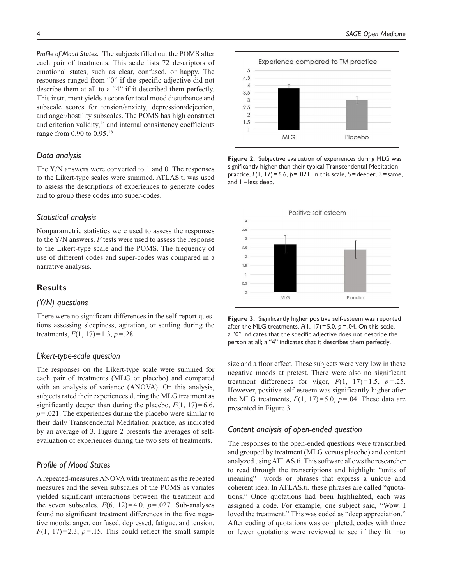*Profile of Mood States.* The subjects filled out the POMS after each pair of treatments. This scale lists 72 descriptors of emotional states, such as clear, confused, or happy. The responses ranged from "0" if the specific adjective did not describe them at all to a "4" if it described them perfectly. This instrument yields a score for total mood disturbance and subscale scores for tension/anxiety, depression/dejection, and anger/hostility subscales. The POMS has high construct and criterion validity,<sup>15</sup> and internal consistency coefficients range from 0.90 to 0.95.16

#### *Data analysis*

The Y/N answers were converted to 1 and 0. The responses to the Likert-type scales were summed. ATLAS.ti was used to assess the descriptions of experiences to generate codes and to group these codes into super-codes.

#### *Statistical analysis*

Nonparametric statistics were used to assess the responses to the Y/N answers. *F* tests were used to assess the response to the Likert-type scale and the POMS. The frequency of use of different codes and super-codes was compared in a narrative analysis.

## **Results**

## *(Y/N) questions*

There were no significant differences in the self-report questions assessing sleepiness, agitation, or settling during the treatments,  $F(1, 17)=1.3, p=.28$ .

## *Likert-type-scale question*

The responses on the Likert-type scale were summed for each pair of treatments (MLG or placebo) and compared with an analysis of variance (ANOVA). On this analysis, subjects rated their experiences during the MLG treatment as significantly deeper than during the placebo,  $F(1, 17)=6.6$ , *p*=.021. The experiences during the placebo were similar to their daily Transcendental Meditation practice, as indicated by an average of 3. Figure 2 presents the averages of selfevaluation of experiences during the two sets of treatments.

## *Profile of Mood States*

A repeated-measures ANOVA with treatment as the repeated measures and the seven subscales of the POMS as variates yielded significant interactions between the treatment and the seven subscales,  $F(6, 12)=4.0$ ,  $p=.027$ . Sub-analyses found no significant treatment differences in the five negative moods: anger, confused, depressed, fatigue, and tension,  $F(1, 17)=2.3, p=.15$ . This could reflect the small sample



**Figure 2.** Subjective evaluation of experiences during MLG was significantly higher than their typical Transcendental Meditation practice, *F*(1, 17)=6.6, *p*=.021. In this scale, 5=deeper, 3=same, and  $1 =$  less deep.



**Figure 3.** Significantly higher positive self-esteem was reported after the MLG treatments,  $F(1, 17) = 5.0$ ,  $p = .04$ . On this scale, a "0" indicates that the specific adjective does not describe the person at all; a "4" indicates that it describes them perfectly.

size and a floor effect. These subjects were very low in these negative moods at pretest. There were also no significant treatment differences for vigor,  $F(1, 17)=1.5$ ,  $p=.25$ . However, positive self-esteem was significantly higher after the MLG treatments,  $F(1, 17)=5.0$ ,  $p=.04$ . These data are presented in Figure 3.

## *Content analysis of open-ended question*

The responses to the open-ended questions were transcribed and grouped by treatment (MLG versus placebo) and content analyzed using ATLAS.ti. This software allows the researcher to read through the transcriptions and highlight "units of meaning"—words or phrases that express a unique and coherent idea. In ATLAS.ti, these phrases are called "quotations." Once quotations had been highlighted, each was assigned a code. For example, one subject said, "Wow. I loved the treatment." This was coded as "deep appreciation." After coding of quotations was completed, codes with three or fewer quotations were reviewed to see if they fit into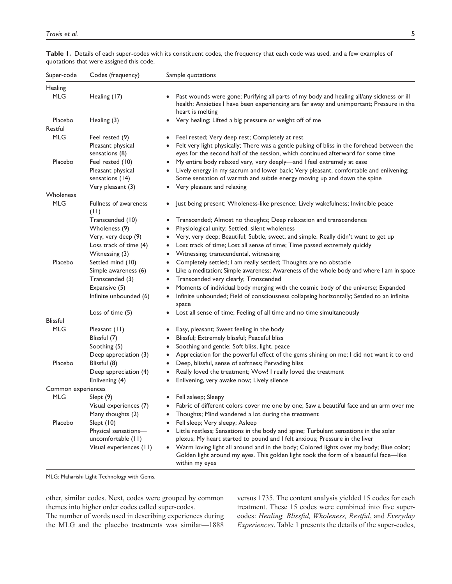| Super-code         | Codes (frequency)                          | Sample quotations                                                                                                                                                                                                      |
|--------------------|--------------------------------------------|------------------------------------------------------------------------------------------------------------------------------------------------------------------------------------------------------------------------|
| Healing            |                                            |                                                                                                                                                                                                                        |
| <b>MLG</b>         | Healing (17)                               | Past wounds were gone; Purifying all parts of my body and healing all/any sickness or ill<br>$\bullet$<br>health; Anxieties I have been experiencing are far away and unimportant; Pressure in the<br>heart is melting |
| Placebo<br>Restful | Healing (3)                                | Very healing; Lifted a big pressure or weight off of me<br>$\bullet$                                                                                                                                                   |
| <b>MLG</b>         | Feel rested (9)                            | Feel rested; Very deep rest; Completely at rest<br>٠                                                                                                                                                                   |
|                    | Pleasant physical                          | Felt very light physically; There was a gentle pulsing of bliss in the forehead between the<br>$\bullet$                                                                                                               |
|                    | sensations (8)                             | eyes for the second half of the session, which continued afterward for some time                                                                                                                                       |
| Placebo            | Feel rested (10)                           | My entire body relaxed very, very deeply-and I feel extremely at ease<br>$\bullet$                                                                                                                                     |
|                    | Pleasant physical                          | Lively energy in my sacrum and lower back; Very pleasant, comfortable and enlivening;<br>$\bullet$                                                                                                                     |
|                    | sensations (14)                            | Some sensation of warmth and subtle energy moving up and down the spine                                                                                                                                                |
|                    | Very pleasant (3)                          | Very pleasant and relaxing<br>٠                                                                                                                                                                                        |
| Wholeness          |                                            |                                                                                                                                                                                                                        |
| <b>MLG</b>         | <b>Fullness of awareness</b><br>(11)       | Just being present; Wholeness-like presence; Lively wakefulness; Invincible peace<br>$\bullet$                                                                                                                         |
|                    | Transcended (10)                           | Transcended; Almost no thoughts; Deep relaxation and transcendence<br>٠                                                                                                                                                |
|                    | Wholeness (9)                              | Physiological unity; Settled, silent wholeness<br>$\bullet$                                                                                                                                                            |
|                    | Very, very deep (9)                        | Very, very deep; Beautiful; Subtle, sweet, and simple. Really didn't want to get up<br>٠                                                                                                                               |
|                    | Loss track of time (4)                     | Lost track of time; Lost all sense of time; Time passed extremely quickly<br>٠                                                                                                                                         |
|                    | Witnessing (3)                             | Witnessing; transcendental, witnessing<br>٠                                                                                                                                                                            |
| Placebo            | Settled mind (10)                          | Completely settled; I am really settled; Thoughts are no obstacle<br>٠                                                                                                                                                 |
|                    | Simple awareness (6)                       | Like a meditation; Simple awareness; Awareness of the whole body and where I am in space<br>٠                                                                                                                          |
|                    | Transcended (3)                            | Transcended very clearly; Transcended<br>$\bullet$                                                                                                                                                                     |
|                    | Expansive (5)                              | Moments of individual body merging with the cosmic body of the universe; Expanded<br>٠                                                                                                                                 |
|                    | Infinite unbounded (6)                     | Infinite unbounded; Field of consciousness collapsing horizontally; Settled to an infinite<br>$\bullet$<br>space                                                                                                       |
|                    | Loss of time (5)                           | Lost all sense of time; Feeling of all time and no time simultaneously<br>$\bullet$                                                                                                                                    |
| <b>Blissful</b>    |                                            |                                                                                                                                                                                                                        |
| <b>MLG</b>         | Pleasant (11)                              | Easy, pleasant; Sweet feeling in the body<br>$\bullet$                                                                                                                                                                 |
|                    | Blissful (7)                               | Blissful; Extremely blissful; Peaceful bliss<br>٠                                                                                                                                                                      |
|                    | Soothing (5)                               | Soothing and gentle; Soft bliss, light, peace<br>٠                                                                                                                                                                     |
|                    | Deep appreciation (3)                      | Appreciation for the powerful effect of the gems shining on me; I did not want it to end<br>٠                                                                                                                          |
| Placebo            | Blissful (8)                               | Deep, blissful, sense of softness; Pervading bliss<br>٠                                                                                                                                                                |
|                    | Deep appreciation (4)                      | Really loved the treatment; Wow! I really loved the treatment<br>٠                                                                                                                                                     |
|                    | Enlivening (4)                             | Enlivening, very awake now; Lively silence<br>٠                                                                                                                                                                        |
| Common experiences |                                            |                                                                                                                                                                                                                        |
| MLG                | $S$ lept $(9)$                             | Fell asleep; Sleepy                                                                                                                                                                                                    |
|                    | Visual experiences (7)                     | Fabric of different colors cover me one by one; Saw a beautiful face and an arm over me<br>$\bullet$                                                                                                                   |
|                    | Many thoughts (2)                          | Thoughts; Mind wandered a lot during the treatment<br>$\bullet$                                                                                                                                                        |
| Placebo            | Slept $(10)$                               | Fell sleep; Very sleepy; Asleep<br>٠                                                                                                                                                                                   |
|                    | Physical sensations-<br>uncomfortable (11) | Little restless; Sensations in the body and spine; Turbulent sensations in the solar<br>٠<br>plexus; My heart started to pound and I felt anxious; Pressure in the liver                                               |
|                    | Visual experiences (11)                    | Warm loving light all around and in the body; Colored lights over my body; Blue color;<br>$\bullet$<br>Golden light around my eyes. This golden light took the form of a beautiful face-like<br>within my eyes         |

**Table 1.** Details of each super-codes with its constituent codes, the frequency that each code was used, and a few examples of quotations that were assigned this code.

MLG: Maharishi Light Technology with Gems.

other, similar codes. Next, codes were grouped by common themes into higher order codes called super-codes.

The number of words used in describing experiences during the MLG and the placebo treatments was similar—1888

versus 1735. The content analysis yielded 15 codes for each treatment. These 15 codes were combined into five supercodes: *Healing, Blissful, Wholeness, Restful*, and *Everyday Experiences*. Table 1 presents the details of the super-codes,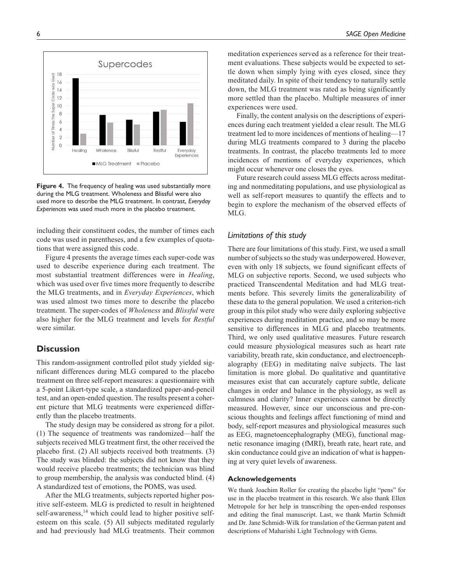

**Figure 4.** The frequency of healing was used substantially more during the MLG treatment. Wholeness and Blissful were also used more to describe the MLG treatment. In contrast, *Everyday Experiences* was used much more in the placebo treatment.

including their constituent codes, the number of times each code was used in parentheses, and a few examples of quotations that were assigned this code.

Figure 4 presents the average times each super-code was used to describe experience during each treatment. The most substantial treatment differences were in *Healing*, which was used over five times more frequently to describe the MLG treatments, and in *Everyday Experiences*, which was used almost two times more to describe the placebo treatment. The super-codes of *Wholeness* and *Blissful* were also higher for the MLG treatment and levels for *Restful* were similar.

## **Discussion**

This random-assignment controlled pilot study yielded significant differences during MLG compared to the placebo treatment on three self-report measures: a questionnaire with a 5-point Likert-type scale, a standardized paper-and-pencil test, and an open-ended question. The results present a coherent picture that MLG treatments were experienced differently than the placebo treatments.

The study design may be considered as strong for a pilot. (1) The sequence of treatments was randomized—half the subjects received MLG treatment first, the other received the placebo first. (2) All subjects received both treatments. (3) The study was blinded: the subjects did not know that they would receive placebo treatments; the technician was blind to group membership, the analysis was conducted blind. (4) A standardized test of emotions, the POMS, was used.

After the MLG treatments, subjects reported higher positive self-esteem. MLG is predicted to result in heightened self-awareness,<sup>14</sup> which could lead to higher positive selfesteem on this scale. (5) All subjects meditated regularly and had previously had MLG treatments. Their common meditation experiences served as a reference for their treatment evaluations. These subjects would be expected to settle down when simply lying with eyes closed, since they meditated daily. In spite of their tendency to naturally settle down, the MLG treatment was rated as being significantly more settled than the placebo. Multiple measures of inner experiences were used.

Finally, the content analysis on the descriptions of experiences during each treatment yielded a clear result. The MLG treatment led to more incidences of mentions of healing—17 during MLG treatments compared to 3 during the placebo treatments. In contrast, the placebo treatments led to more incidences of mentions of everyday experiences, which might occur whenever one closes the eyes.

Future research could assess MLG effects across meditating and nonmeditating populations, and use physiological as well as self-report measures to quantify the effects and to begin to explore the mechanism of the observed effects of MLG.

## *Limitations of this study*

There are four limitations of this study. First, we used a small number of subjects so the study was underpowered. However, even with only 18 subjects, we found significant effects of MLG on subjective reports. Second, we used subjects who practiced Transcendental Meditation and had MLG treatments before. This severely limits the generalizability of these data to the general population. We used a criterion-rich group in this pilot study who were daily exploring subjective experiences during meditation practice, and so may be more sensitive to differences in MLG and placebo treatments. Third, we only used qualitative measures. Future research could measure physiological measures such as heart rate variability, breath rate, skin conductance, and electroencephalography (EEG) in meditating naïve subjects. The last limitation is more global. Do qualitative and quantitative measures exist that can accurately capture subtle, delicate changes in order and balance in the physiology, as well as calmness and clarity? Inner experiences cannot be directly measured. However, since our unconscious and pre-conscious thoughts and feelings affect functioning of mind and body, self-report measures and physiological measures such as EEG, magnetoencephalography (MEG), functional magnetic resonance imaging (fMRI), breath rate, heart rate, and skin conductance could give an indication of what is happening at very quiet levels of awareness.

#### **Acknowledgements**

We thank Joachim Roller for creating the placebo light "pens" for use in the placebo treatment in this research. We also thank Ellen Metropole for her help in transcribing the open-ended responses and editing the final manuscript. Last, we thank Martin Schmidt and Dr. Jane Schmidt-Wilk for translation of the German patent and descriptions of Maharishi Light Technology with Gems.